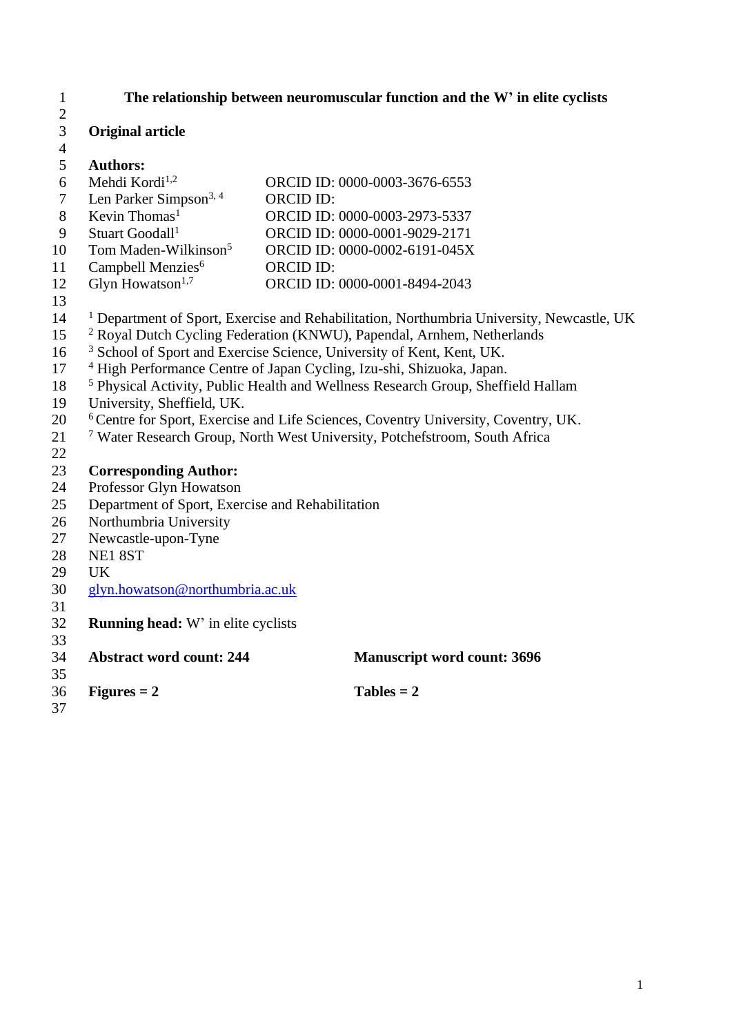| 1                   |                                                                                               | The relationship between neuromuscular function and the W' in elite cyclists                         |  |  |  |  |
|---------------------|-----------------------------------------------------------------------------------------------|------------------------------------------------------------------------------------------------------|--|--|--|--|
| $\overline{2}$<br>3 | <b>Original article</b>                                                                       |                                                                                                      |  |  |  |  |
| $\overline{4}$      |                                                                                               |                                                                                                      |  |  |  |  |
| 5                   | <b>Authors:</b>                                                                               |                                                                                                      |  |  |  |  |
| 6                   | Mehdi Kordi <sup>1,2</sup>                                                                    | ORCID ID: 0000-0003-3676-6553                                                                        |  |  |  |  |
| $\tau$              | Len Parker Simpson <sup>3, 4</sup>                                                            | <b>ORCID ID:</b>                                                                                     |  |  |  |  |
| 8                   | Kevin Thomas <sup>1</sup>                                                                     | ORCID ID: 0000-0003-2973-5337                                                                        |  |  |  |  |
| 9                   | Stuart Goodall <sup>1</sup>                                                                   | ORCID ID: 0000-0001-9029-2171                                                                        |  |  |  |  |
| 10                  | Tom Maden-Wilkinson <sup>5</sup>                                                              | ORCID ID: 0000-0002-6191-045X                                                                        |  |  |  |  |
| 11                  | Campbell Menzies <sup>6</sup>                                                                 | <b>ORCID ID:</b>                                                                                     |  |  |  |  |
| 12                  | Glyn Howatson $1,7$                                                                           | ORCID ID: 0000-0001-8494-2043                                                                        |  |  |  |  |
| 13                  |                                                                                               |                                                                                                      |  |  |  |  |
| 14                  |                                                                                               | <sup>1</sup> Department of Sport, Exercise and Rehabilitation, Northumbria University, Newcastle, UK |  |  |  |  |
| 15                  |                                                                                               | <sup>2</sup> Royal Dutch Cycling Federation (KNWU), Papendal, Arnhem, Netherlands                    |  |  |  |  |
| 16                  |                                                                                               | <sup>3</sup> School of Sport and Exercise Science, University of Kent, Kent, UK.                     |  |  |  |  |
| 17                  |                                                                                               | <sup>4</sup> High Performance Centre of Japan Cycling, Izu-shi, Shizuoka, Japan.                     |  |  |  |  |
| 18                  |                                                                                               | <sup>5</sup> Physical Activity, Public Health and Wellness Research Group, Sheffield Hallam          |  |  |  |  |
| 19                  | University, Sheffield, UK.                                                                    |                                                                                                      |  |  |  |  |
| 20                  | <sup>6</sup> Centre for Sport, Exercise and Life Sciences, Coventry University, Coventry, UK. |                                                                                                      |  |  |  |  |
| 21                  |                                                                                               | <sup>7</sup> Water Research Group, North West University, Potchefstroom, South Africa                |  |  |  |  |
| 22                  |                                                                                               |                                                                                                      |  |  |  |  |
| 23                  | <b>Corresponding Author:</b>                                                                  |                                                                                                      |  |  |  |  |
| 24                  | Professor Glyn Howatson                                                                       |                                                                                                      |  |  |  |  |
| 25                  | Department of Sport, Exercise and Rehabilitation                                              |                                                                                                      |  |  |  |  |
| 26                  | Northumbria University                                                                        |                                                                                                      |  |  |  |  |
| 27                  | Newcastle-upon-Tyne                                                                           |                                                                                                      |  |  |  |  |
| 28                  | NE18ST                                                                                        |                                                                                                      |  |  |  |  |
| 29                  | <b>UK</b>                                                                                     |                                                                                                      |  |  |  |  |
| 30                  | glyn.howatson@northumbria.ac.uk                                                               |                                                                                                      |  |  |  |  |
| 31                  |                                                                                               |                                                                                                      |  |  |  |  |
| 32                  | <b>Running head:</b> W' in elite cyclists                                                     |                                                                                                      |  |  |  |  |
| 33                  |                                                                                               |                                                                                                      |  |  |  |  |
| 34                  | <b>Abstract word count: 244</b>                                                               | <b>Manuscript word count: 3696</b>                                                                   |  |  |  |  |
| 35                  |                                                                                               |                                                                                                      |  |  |  |  |
| 36                  | $Figures = 2$                                                                                 | $Tables = 2$                                                                                         |  |  |  |  |
| 37                  |                                                                                               |                                                                                                      |  |  |  |  |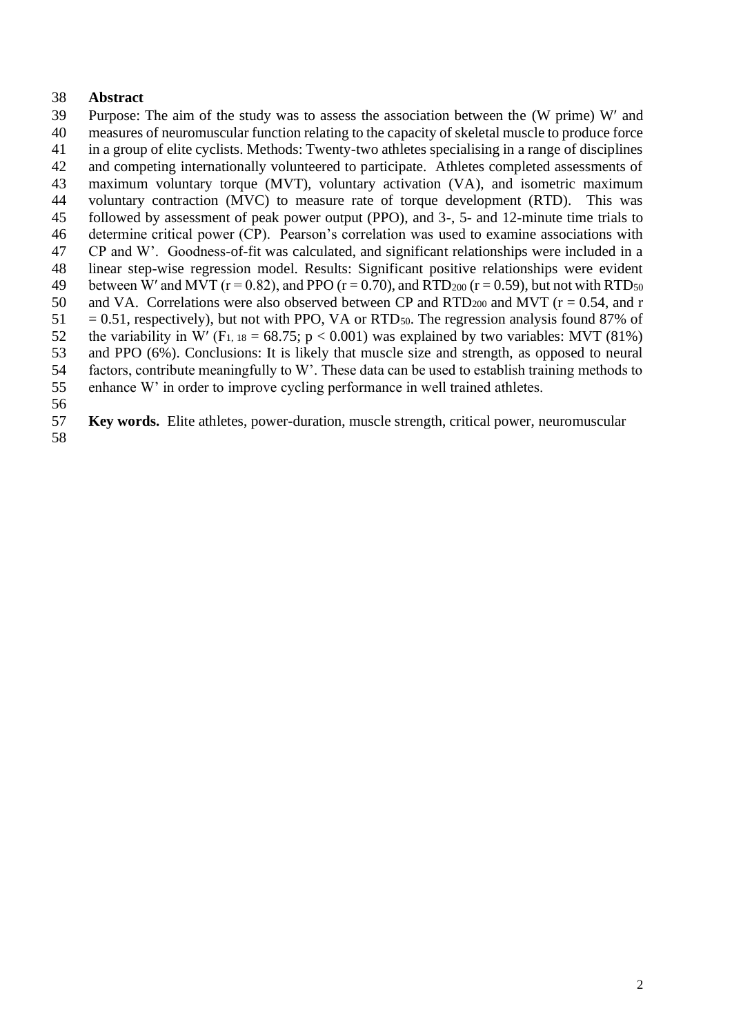## **Abstract**

 Purpose: The aim of the study was to assess the association between the (W prime) W and measures of neuromuscular function relating to the capacity of skeletal muscle to produce force in a group of elite cyclists. Methods: Twenty-two athletes specialising in a range of disciplines and competing internationally volunteered to participate. Athletes completed assessments of maximum voluntary torque (MVT), voluntary activation (VA), and isometric maximum voluntary contraction (MVC) to measure rate of torque development (RTD). This was followed by assessment of peak power output (PPO), and 3-, 5- and 12-minute time trials to determine critical power (CP). Pearson's correlation was used to examine associations with CP and W'. Goodness-of-fit was calculated, and significant relationships were included in a linear step-wise regression model. Results: Significant positive relationships were evident 49 between W' and MVT ( $r = 0.82$ ), and PPO ( $r = 0.70$ ), and RTD<sub>200</sub> ( $r = 0.59$ ), but not with RTD<sub>50</sub> 50 and VA. Correlations were also observed between CP and RTD<sub>200</sub> and MVT ( $r = 0.54$ , and r  $51 = 0.51$ , respectively), but not with PPO, VA or RTD<sub>50</sub>. The regression analysis found 87% of 52 the variability in W' (F<sub>1, 18</sub> = 68.75; p < 0.001) was explained by two variables: MVT (81%) and PPO (6%). Conclusions: It is likely that muscle size and strength, as opposed to neural factors, contribute meaningfully to W'. These data can be used to establish training methods to enhance W' in order to improve cycling performance in well trained athletes. 

**Key words.** Elite athletes, power-duration, muscle strength, critical power, neuromuscular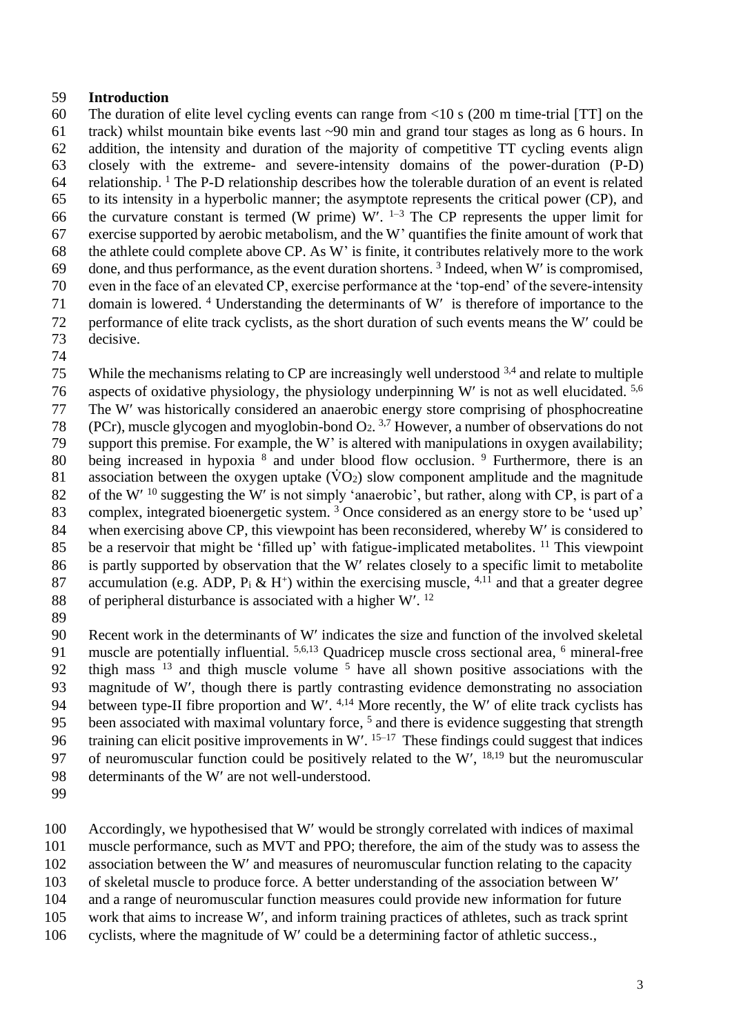#### 59 **Introduction**

 The duration of elite level cycling events can range from <10 s (200 m time-trial [TT] on the track) whilst mountain bike events last ~90 min and grand tour stages as long as 6 hours. In addition, the intensity and duration of the majority of competitive TT cycling events align closely with the extreme- and severe-intensity domains of the power-duration (P-D) 64 relationship. <sup>1</sup> The P-D relationship describes how the tolerable duration of an event is related to its intensity in a hyperbolic manner; the asymptote represents the critical power (CP), and 66 the curvature constant is termed (W prime) W'.  $1-3$  The CP represents the upper limit for exercise supported by aerobic metabolism, and the W' quantifies the finite amount of work that the athlete could complete above CP. As W' is finite, it contributes relatively more to the work 69 done, and thus performance, as the event duration shortens.  $3$  Indeed, when W' is compromised, even in the face of an elevated CP, exercise performance at the 'top-end' of the severe-intensity 71 domain is lowered.  $4$  Understanding the determinants of W is therefore of importance to the performance of elite track cyclists, as the short duration of such events means the W could be decisive.

74

75 While the mechanisms relating to CP are increasingly well understood  $3,4$  and relate to multiple 76 aspects of oxidative physiology, the physiology underpinning W' is not as well elucidated. <sup>5,6</sup> 77 The W was historically considered an anaerobic energy store comprising of phosphocreatine 78 (PCr), muscle glycogen and myoglobin-bond  $Q_2$ .<sup>3,7</sup> However, a number of observations do not 79 support this premise. For example, the W' is altered with manipulations in oxygen availability; 80 being increased in hypoxia <sup>8</sup> and under blood flow occlusion. <sup>9</sup> Furthermore, there is an 81 association between the oxygen uptake  $(\dot{V}O_2)$  slow component amplitude and the magnitude 82 of the W'  $^{10}$  suggesting the W' is not simply 'anaerobic', but rather, along with CP, is part of a 83 complex, integrated bioenergetic system. <sup>3</sup> Once considered as an energy store to be 'used up' 84 when exercising above CP, this viewpoint has been reconsidered, whereby W' is considered to 85 be a reservoir that might be 'filled up' with fatigue-implicated metabolites. <sup>11</sup> This viewpoint 86 is partly supported by observation that the W' relates closely to a specific limit to metabolite 87 accumulation (e.g. ADP,  $P_i \& H^+$ ) within the exercising muscle, <sup>4,11</sup> and that a greater degree 88 of peripheral disturbance is associated with a higher W'.<sup>12</sup> 89

90 Recent work in the determinants of W' indicates the size and function of the involved skeletal 91 muscle are potentially influential.  $5,6,13$  Quadricep muscle cross sectional area,  $6$  mineral-free 92 thigh mass  $13$  and thigh muscle volume  $5$  have all shown positive associations with the 93 magnitude of W', though there is partly contrasting evidence demonstrating no association 94 between type-II fibre proportion and W'.  $4,14$  More recently, the W' of elite track cyclists has 95 been associated with maximal voluntary force, <sup>5</sup> and there is evidence suggesting that strength 96 training can elicit positive improvements in  $W'$ . <sup>15–17</sup> These findings could suggest that indices 97 of neuromuscular function could be positively related to the W',  $^{18,19}$  but the neuromuscular 98 determinants of the W' are not well-understood.

99

100 Accordingly, we hypothesised that W' would be strongly correlated with indices of maximal

101 muscle performance, such as MVT and PPO; therefore, the aim of the study was to assess the

102 association between the W' and measures of neuromuscular function relating to the capacity

103 of skeletal muscle to produce force. A better understanding of the association between W

104 and a range of neuromuscular function measures could provide new information for future

105 work that aims to increase W, and inform training practices of athletes, such as track sprint

106 cyclists, where the magnitude of W' could be a determining factor of athletic success..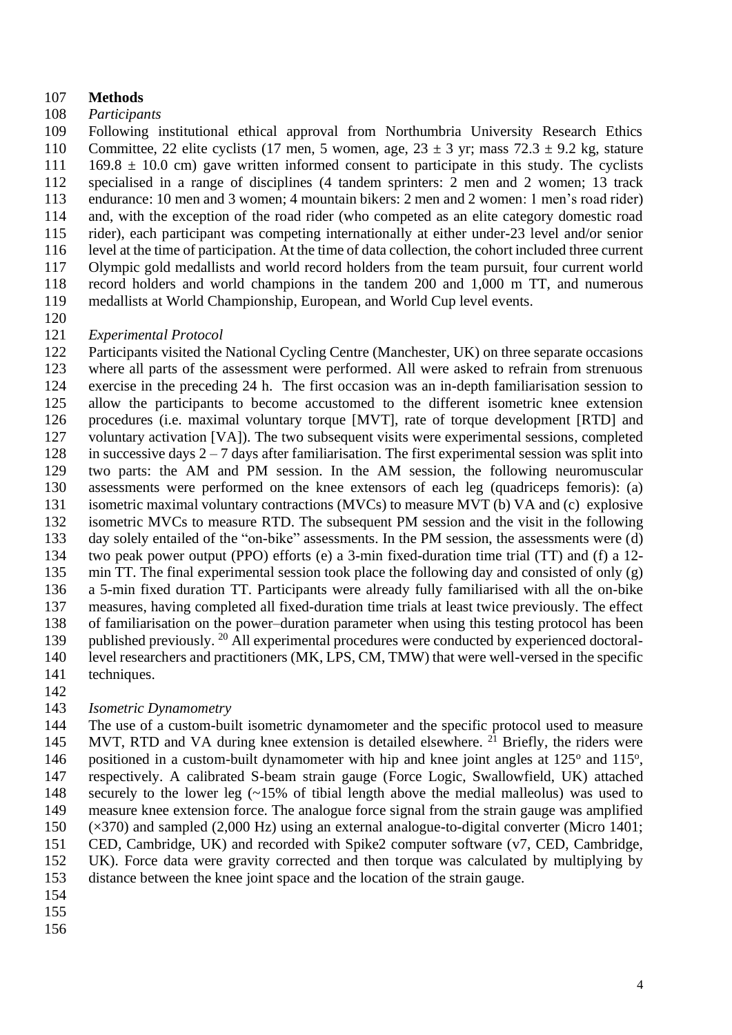## **Methods**

## *Participants*

 Following institutional ethical approval from Northumbria University Research Ethics 110 Committee, 22 elite cyclists (17 men, 5 women, age,  $23 \pm 3$  yr; mass  $72.3 \pm 9.2$  kg, stature 111 169.8  $\pm$  10.0 cm) gave written informed consent to participate in this study. The cyclists specialised in a range of disciplines (4 tandem sprinters: 2 men and 2 women; 13 track endurance: 10 men and 3 women; 4 mountain bikers: 2 men and 2 women: 1 men's road rider) and, with the exception of the road rider (who competed as an elite category domestic road rider), each participant was competing internationally at either under-23 level and/or senior level at the time of participation. At the time of data collection, the cohort included three current Olympic gold medallists and world record holders from the team pursuit, four current world record holders and world champions in the tandem 200 and 1,000 m TT, and numerous medallists at World Championship, European, and World Cup level events.

- 
- *Experimental Protocol*

 Participants visited the National Cycling Centre (Manchester, UK) on three separate occasions where all parts of the assessment were performed. All were asked to refrain from strenuous exercise in the preceding 24 h. The first occasion was an in-depth familiarisation session to allow the participants to become accustomed to the different isometric knee extension procedures (i.e. maximal voluntary torque [MVT], rate of torque development [RTD] and voluntary activation [VA]). The two subsequent visits were experimental sessions, completed 128 in successive days  $2 - 7$  days after familiarisation. The first experimental session was split into two parts: the AM and PM session. In the AM session, the following neuromuscular assessments were performed on the knee extensors of each leg (quadriceps femoris): (a) isometric maximal voluntary contractions (MVCs) to measure MVT (b) VA and (c) explosive isometric MVCs to measure RTD. The subsequent PM session and the visit in the following day solely entailed of the "on-bike" assessments. In the PM session, the assessments were (d) two peak power output (PPO) efforts (e) a 3-min fixed-duration time trial (TT) and (f) a 12- min TT. The final experimental session took place the following day and consisted of only (g) a 5-min fixed duration TT. Participants were already fully familiarised with all the on-bike measures, having completed all fixed-duration time trials at least twice previously. The effect of familiarisation on the power–duration parameter when using this testing protocol has been 139 published previously. <sup>20</sup> All experimental procedures were conducted by experienced doctoral- level researchers and practitioners (MK, LPS, CM, TMW) that were well-versed in the specific techniques.

## *Isometric Dynamometry*

 The use of a custom-built isometric dynamometer and the specific protocol used to measure 145 MVT, RTD and VA during knee extension is detailed elsewhere. <sup>21</sup> Briefly, the riders were 146 positioned in a custom-built dynamometer with hip and knee joint angles at  $125^{\circ}$  and  $115^{\circ}$ , respectively. A calibrated S-beam strain gauge (Force Logic, Swallowfield, UK) attached securely to the lower leg (~15% of tibial length above the medial malleolus) was used to measure knee extension force. The analogue force signal from the strain gauge was amplified (×370) and sampled (2,000 Hz) using an external analogue-to-digital converter (Micro 1401; CED, Cambridge, UK) and recorded with Spike2 computer software (v7, CED, Cambridge, UK). Force data were gravity corrected and then torque was calculated by multiplying by distance between the knee joint space and the location of the strain gauge.

- 
- 
-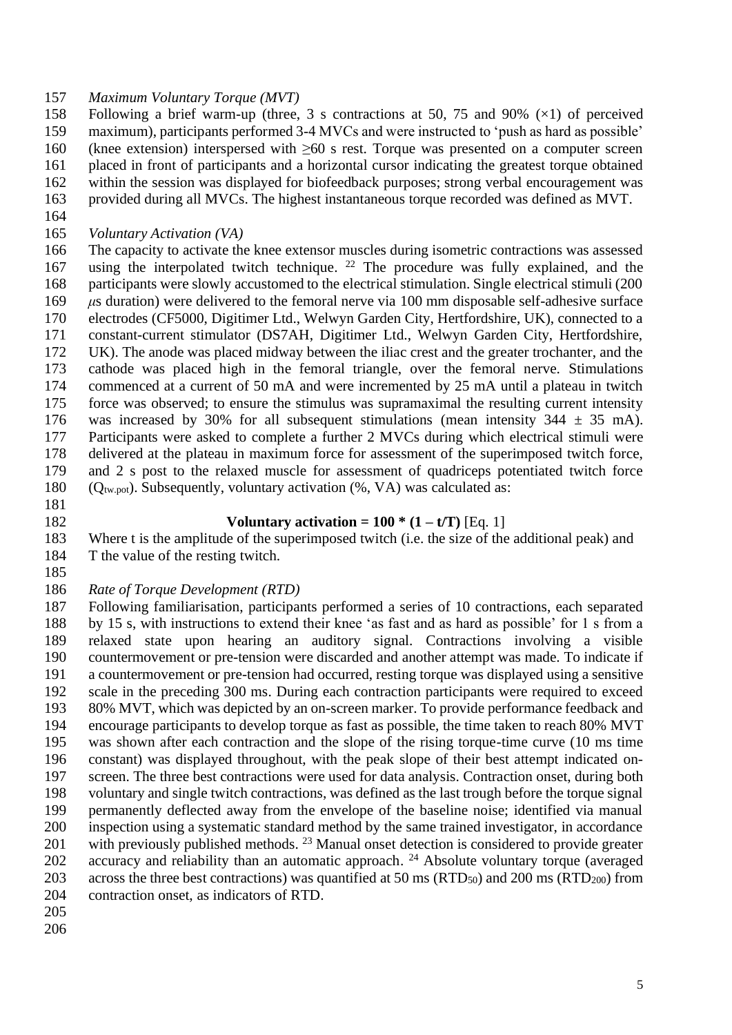### *Maximum Voluntary Torque (MVT)*

 Following a brief warm-up (three, 3 s contractions at 50, 75 and 90% (×1) of perceived maximum), participants performed 3-4 MVCs and were instructed to 'push as hard as possible' (knee extension) interspersed with ≥60 s rest. Torque was presented on a computer screen placed in front of participants and a horizontal cursor indicating the greatest torque obtained within the session was displayed for biofeedback purposes; strong verbal encouragement was provided during all MVCs. The highest instantaneous torque recorded was defined as MVT.

- 
- *Voluntary Activation (VA)*

 The capacity to activate the knee extensor muscles during isometric contractions was assessed 167 using the interpolated twitch technique. <sup>22</sup> The procedure was fully explained, and the participants were slowly accustomed to the electrical stimulation. Single electrical stimuli (200 *μ*s duration) were delivered to the femoral nerve via 100 mm disposable self-adhesive surface electrodes (CF5000, Digitimer Ltd., Welwyn Garden City, Hertfordshire, UK), connected to a constant-current stimulator (DS7AH, Digitimer Ltd., Welwyn Garden City, Hertfordshire, UK). The anode was placed midway between the iliac crest and the greater trochanter, and the cathode was placed high in the femoral triangle, over the femoral nerve. Stimulations commenced at a current of 50 mA and were incremented by 25 mA until a plateau in twitch force was observed; to ensure the stimulus was supramaximal the resulting current intensity 176 was increased by 30% for all subsequent stimulations (mean intensity  $344 \pm 35$  mA). Participants were asked to complete a further 2 MVCs during which electrical stimuli were delivered at the plateau in maximum force for assessment of the superimposed twitch force, and 2 s post to the relaxed muscle for assessment of quadriceps potentiated twitch force 180 ( $Q_{tw, pot}$ ). Subsequently, voluntary activation (%, VA) was calculated as:

- 
- 

### 182 **Voluntary activation =**  $100 * (1 - t/T)$  [Eq. 1]

 Where t is the amplitude of the superimposed twitch (i.e. the size of the additional peak) and T the value of the resting twitch.

- 
- *Rate of Torque Development (RTD)*

 Following familiarisation, participants performed a series of 10 contractions, each separated by 15 s, with instructions to extend their knee 'as fast and as hard as possible' for 1 s from a relaxed state upon hearing an auditory signal. Contractions involving a visible countermovement or pre-tension were discarded and another attempt was made. To indicate if a countermovement or pre-tension had occurred, resting torque was displayed using a sensitive scale in the preceding 300 ms. During each contraction participants were required to exceed 80% MVT, which was depicted by an on-screen marker. To provide performance feedback and encourage participants to develop torque as fast as possible, the time taken to reach 80% MVT was shown after each contraction and the slope of the rising torque-time curve (10 ms time constant) was displayed throughout, with the peak slope of their best attempt indicated on- screen. The three best contractions were used for data analysis. Contraction onset, during both voluntary and single twitch contractions, was defined as the last trough before the torque signal permanently deflected away from the envelope of the baseline noise; identified via manual inspection using a systematic standard method by the same trained investigator, in accordance 201 with previously published methods. <sup>23</sup> Manual onset detection is considered to provide greater 202 accuracy and reliability than an automatic approach. <sup>24</sup> Absolute voluntary torque (averaged 203 across the three best contractions) was quantified at 50 ms (RTD<sub>50</sub>) and 200 ms (RTD<sub>200</sub>) from contraction onset, as indicators of RTD.

- 
-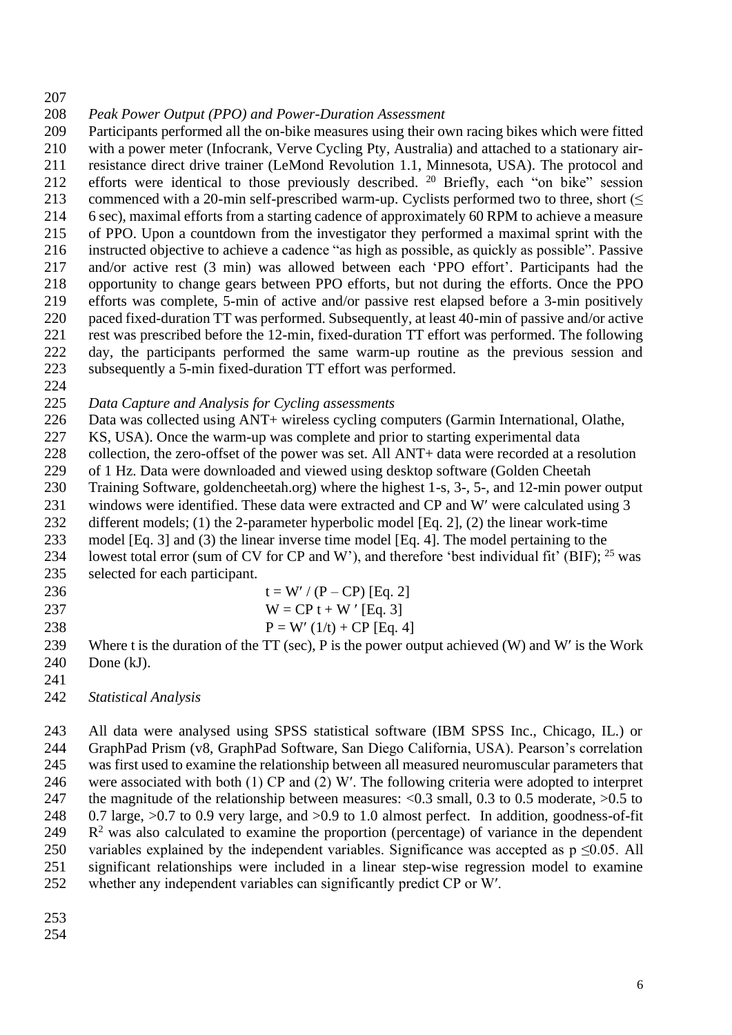- 
- *Peak Power Output (PPO) and Power-Duration Assessment*

 Participants performed all the on-bike measures using their own racing bikes which were fitted with a power meter (Infocrank, Verve Cycling Pty, Australia) and attached to a stationary air- resistance direct drive trainer (LeMond Revolution 1.1, Minnesota, USA). The protocol and 212 efforts were identical to those previously described. <sup>20</sup> Briefly, each "on bike" session 213 commenced with a 20-min self-prescribed warm-up. Cyclists performed two to three, short (< 6 sec), maximal efforts from a starting cadence of approximately 60 RPM to achieve a measure of PPO. Upon a countdown from the investigator they performed a maximal sprint with the instructed objective to achieve a cadence "as high as possible, as quickly as possible". Passive and/or active rest (3 min) was allowed between each 'PPO effort'. Participants had the opportunity to change gears between PPO efforts, but not during the efforts. Once the PPO efforts was complete, 5-min of active and/or passive rest elapsed before a 3-min positively paced fixed-duration TT was performed. Subsequently, at least 40-min of passive and/or active rest was prescribed before the 12-min, fixed-duration TT effort was performed. The following day, the participants performed the same warm-up routine as the previous session and subsequently a 5-min fixed-duration TT effort was performed.

*Data Capture and Analysis for Cycling assessments* 

Data was collected using ANT+ wireless cycling computers (Garmin International, Olathe,

KS, USA). Once the warm-up was complete and prior to starting experimental data

 collection, the zero-offset of the power was set. All ANT+ data were recorded at a resolution of 1 Hz. Data were downloaded and viewed using desktop software (Golden Cheetah

Training Software, goldencheetah.org) where the highest 1-s, 3-, 5-, and 12-min power output

231 windows were identified. These data were extracted and CP and W' were calculated using 3

232 different models; (1) the 2-parameter hyperbolic model [Eq. 2], (2) the linear work-time

model [Eq. 3] and (3) the linear inverse time model [Eq. 4]. The model pertaining to the

234 lowest total error (sum of CV for CP and W'), and therefore 'best individual fit' (BIF);  $^{25}$  was selected for each participant.

236  $t = W' / (P - CP) [Eq. 2]$ 237 W = CP t + W ' [Eq. 3] 238  $P = W'(1/t) + CP$  [Eq. 4]

239 Where t is the duration of the TT (sec), P is the power output achieved (W) and W' is the Work Done (kJ).

*Statistical Analysis* 

 All data were analysed using SPSS statistical software (IBM SPSS Inc., Chicago, IL.) or GraphPad Prism (v8, GraphPad Software, San Diego California, USA). Pearson's correlation was first used to examine the relationship between all measured neuromuscular parameters that were associated with both (1) CP and (2) W′. The following criteria were adopted to interpret the magnitude of the relationship between measures: <0.3 small, 0.3 to 0.5 moderate, >0.5 to 0.7 large, >0.7 to 0.9 very large, and >0.9 to 1.0 almost perfect. In addition, goodness-of-fit R<sup>2</sup> was also calculated to examine the proportion (percentage) of variance in the dependent 250 variables explained by the independent variables. Significance was accepted as  $p \le 0.05$ . All significant relationships were included in a linear step-wise regression model to examine whether any independent variables can significantly predict CP or W′.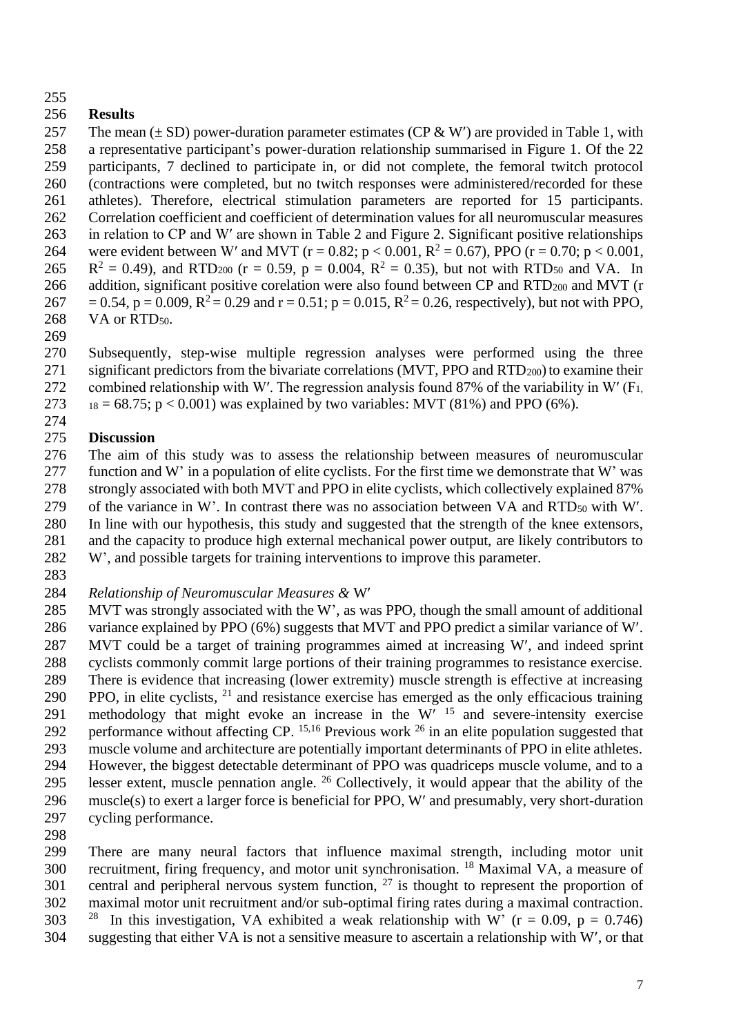# **Results**

257 The mean  $(\pm SD)$  power-duration parameter estimates (CP & W') are provided in Table 1, with a representative participant's power-duration relationship summarised in Figure 1. Of the 22 participants, 7 declined to participate in, or did not complete, the femoral twitch protocol (contractions were completed, but no twitch responses were administered/recorded for these athletes). Therefore, electrical stimulation parameters are reported for 15 participants. Correlation coefficient and coefficient of determination values for all neuromuscular measures in relation to CP and W′ are shown in Table 2 and Figure 2. Significant positive relationships 264 were evident between W' and MVT ( $r = 0.82$ ;  $p < 0.001$ ,  $R^2 = 0.67$ ), PPO ( $r = 0.70$ ;  $p < 0.001$ , 265  $R^2 = 0.49$ ), and RTD<sub>200</sub> (r = 0.59, p = 0.004, R<sup>2</sup> = 0.35), but not with RTD<sub>50</sub> and VA. In 266 addition, significant positive corelation were also found between CP and RTD<sub>200</sub> and MVT ( $r$  $267 = 0.54$ ,  $p = 0.009$ ,  $R^2 = 0.29$  and  $r = 0.51$ ;  $p = 0.015$ ,  $R^2 = 0.26$ , respectively), but not with PPO, 268 VA or RTD<sub>50</sub>.

 Subsequently, step-wise multiple regression analyses were performed using the three 271 significant predictors from the bivariate correlations (MVT, PPO and RTD $_{200}$ ) to examine their 272 combined relationship with W'. The regression analysis found 87% of the variability in W'  $(F<sub>1</sub>,$ 

- 273  $18 = 68.75$ ; p < 0.001) was explained by two variables: MVT (81%) and PPO (6%).
- 

# **Discussion**

 The aim of this study was to assess the relationship between measures of neuromuscular function and W' in a population of elite cyclists. For the first time we demonstrate that W' was strongly associated with both MVT and PPO in elite cyclists, which collectively explained 87% 279 of the variance in W'. In contrast there was no association between VA and RTD<sub>50</sub> with W'. In line with our hypothesis, this study and suggested that the strength of the knee extensors, and the capacity to produce high external mechanical power output, are likely contributors to

- W', and possible targets for training interventions to improve this parameter.
- 

*Relationship of Neuromuscular Measures &* W

- MVT was strongly associated with the W', as was PPO, though the small amount of additional 286 variance explained by PPO (6%) suggests that MVT and PPO predict a similar variance of W'. MVT could be a target of training programmes aimed at increasing W, and indeed sprint cyclists commonly commit large portions of their training programmes to resistance exercise. There is evidence that increasing (lower extremity) muscle strength is effective at increasing 290 PPO, in elite cyclists, and resistance exercise has emerged as the only efficacious training 291 methodology that might evoke an increase in the  $W'$ <sup>15</sup> and severe-intensity exercise 292 performance without affecting CP.  $^{15,16}$  Previous work  $^{26}$  in an elite population suggested that muscle volume and architecture are potentially important determinants of PPO in elite athletes. However, the biggest detectable determinant of PPO was quadriceps muscle volume, and to a 295 lesser extent, muscle pennation angle. <sup>26</sup> Collectively, it would appear that the ability of the 296 muscle(s) to exert a larger force is beneficial for PPO, W' and presumably, very short-duration cycling performance.
- 

 There are many neural factors that influence maximal strength, including motor unit 300 recruitment, firing frequency, and motor unit synchronisation. <sup>18</sup> Maximal VA, a measure of 301 central and peripheral nervous system function, is thought to represent the proportion of maximal motor unit recruitment and/or sub-optimal firing rates during a maximal contraction. 303 <sup>28</sup> In this investigation, VA exhibited a weak relationship with W' ( $r = 0.09$ ,  $p = 0.746$ ) suggesting that either VA is not a sensitive measure to ascertain a relationship with W, or that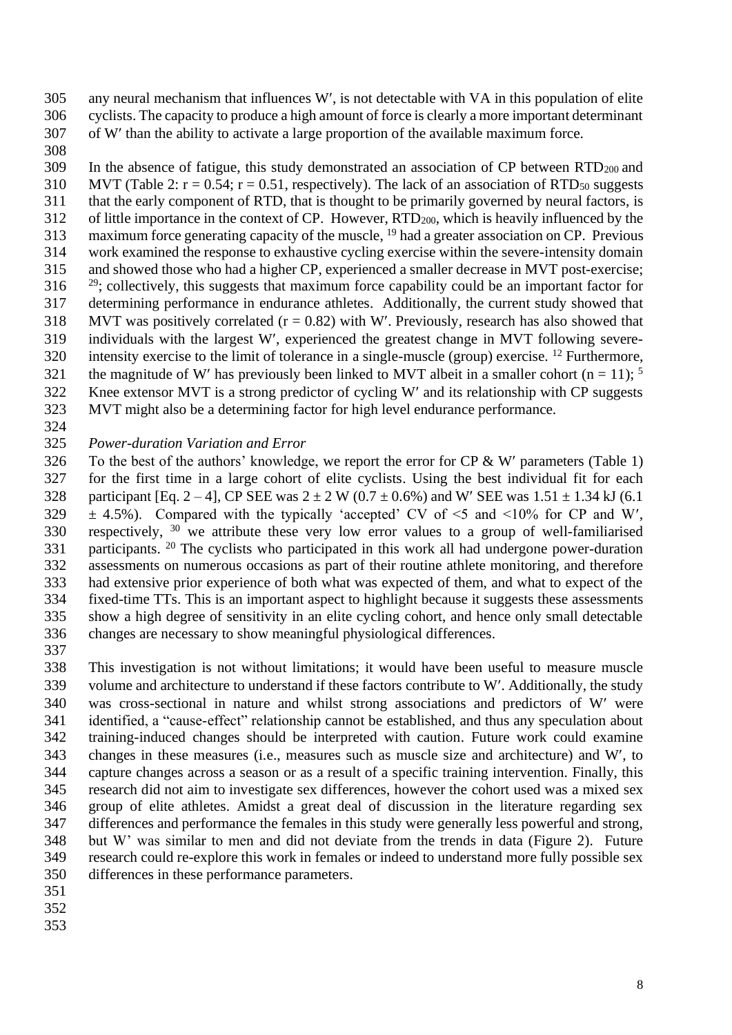any neural mechanism that influences W, is not detectable with VA in this population of elite cyclists. The capacity to produce a high amount of force is clearly a more important determinant of W than the ability to activate a large proportion of the available maximum force.

 In the absence of fatigue, this study demonstrated an association of CP between RTD<sub>200</sub> and 310 MVT (Table 2:  $r = 0.54$ ;  $r = 0.51$ , respectively). The lack of an association of RTD<sub>50</sub> suggests that the early component of RTD, that is thought to be primarily governed by neural factors, is of little importance in the context of CP. However, RTD200, which is heavily influenced by the 313 maximum force generating capacity of the muscle, <sup>19</sup> had a greater association on CP. Previous work examined the response to exhaustive cycling exercise within the severe-intensity domain and showed those who had a higher CP, experienced a smaller decrease in MVT post-exercise; ; collectively, this suggests that maximum force capability could be an important factor for determining performance in endurance athletes. Additionally, the current study showed that 318 MVT was positively correlated  $(r = 0.82)$  with W'. Previously, research has also showed that individuals with the largest W, experienced the greatest change in MVT following severe-320 intensity exercise to the limit of tolerance in a single-muscle (group) exercise. <sup>12</sup> Furthermore, 321 the magnitude of W' has previously been linked to MVT albeit in a smaller cohort (n = 11): <sup>5</sup> Knee extensor MVT is a strong predictor of cycling W and its relationship with CP suggests MVT might also be a determining factor for high level endurance performance.

## *Power-duration Variation and Error*

326 To the best of the authors' knowledge, we report the error for  $CP & W'$  parameters (Table 1) for the first time in a large cohort of elite cyclists. Using the best individual fit for each 328 participant [Eq. 2 – 4], CP SEE was  $2 \pm 2$  W (0.7  $\pm$  0.6%) and W' SEE was 1.51  $\pm$  1.34 kJ (6.1)  $\pm$  4.5%). Compared with the typically 'accepted' CV of  $\leq$ 5 and  $\leq$ 10% for CP and W'. 330 respectively, we attribute these very low error values to a group of well-familiarised 331 participants. <sup>20</sup> The cyclists who participated in this work all had undergone power-duration assessments on numerous occasions as part of their routine athlete monitoring, and therefore had extensive prior experience of both what was expected of them, and what to expect of the fixed-time TTs. This is an important aspect to highlight because it suggests these assessments show a high degree of sensitivity in an elite cycling cohort, and hence only small detectable changes are necessary to show meaningful physiological differences.

 This investigation is not without limitations; it would have been useful to measure muscle volume and architecture to understand if these factors contribute to W. Additionally, the study was cross-sectional in nature and whilst strong associations and predictors of W were identified, a "cause-effect" relationship cannot be established, and thus any speculation about training-induced changes should be interpreted with caution. Future work could examine changes in these measures (i.e., measures such as muscle size and architecture) and W, to capture changes across a season or as a result of a specific training intervention. Finally, this research did not aim to investigate sex differences, however the cohort used was a mixed sex group of elite athletes. Amidst a great deal of discussion in the literature regarding sex differences and performance the females in this study were generally less powerful and strong, but W' was similar to men and did not deviate from the trends in data (Figure 2). Future research could re-explore this work in females or indeed to understand more fully possible sex differences in these performance parameters.

- 
- 
-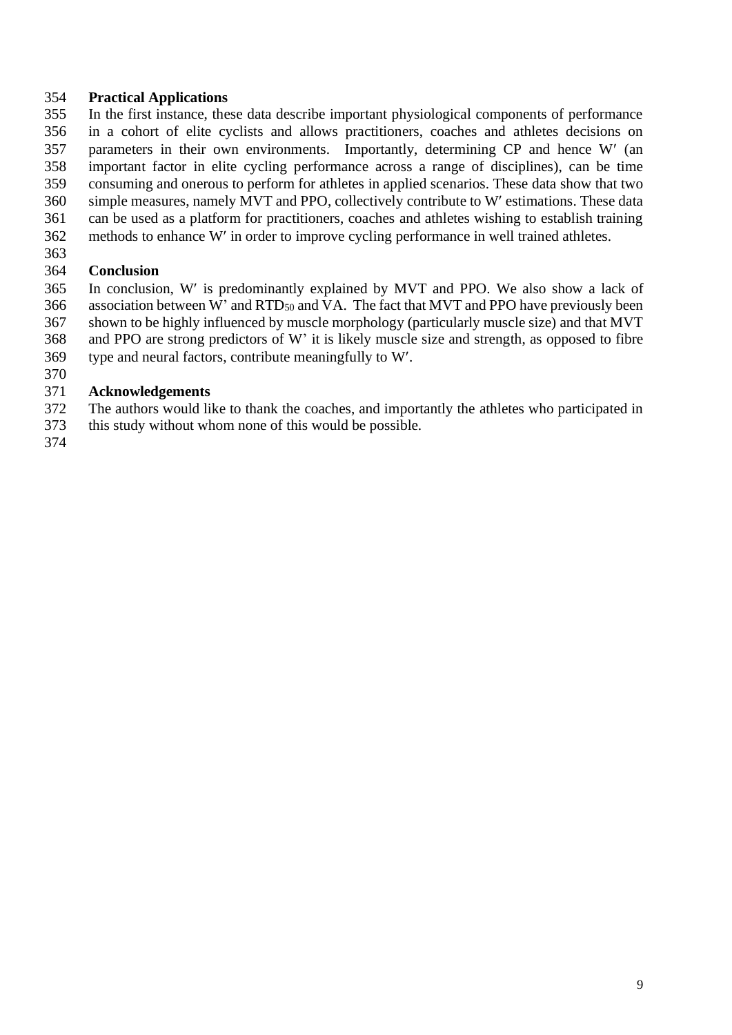## **Practical Applications**

 In the first instance, these data describe important physiological components of performance in a cohort of elite cyclists and allows practitioners, coaches and athletes decisions on parameters in their own environments. Importantly, determining CP and hence W (an important factor in elite cycling performance across a range of disciplines), can be time consuming and onerous to perform for athletes in applied scenarios. These data show that two simple measures, namely MVT and PPO, collectively contribute to W estimations. These data can be used as a platform for practitioners, coaches and athletes wishing to establish training methods to enhance W in order to improve cycling performance in well trained athletes.

# **Conclusion**

 In conclusion, W is predominantly explained by MVT and PPO. We also show a lack of association between W' and RTD<sup>50</sup> and VA. The fact that MVT and PPO have previously been shown to be highly influenced by muscle morphology (particularly muscle size) and that MVT and PPO are strong predictors of W' it is likely muscle size and strength, as opposed to fibre type and neural factors, contribute meaningfully to W.

### **Acknowledgements**

The authors would like to thank the coaches, and importantly the athletes who participated in

- this study without whom none of this would be possible.
-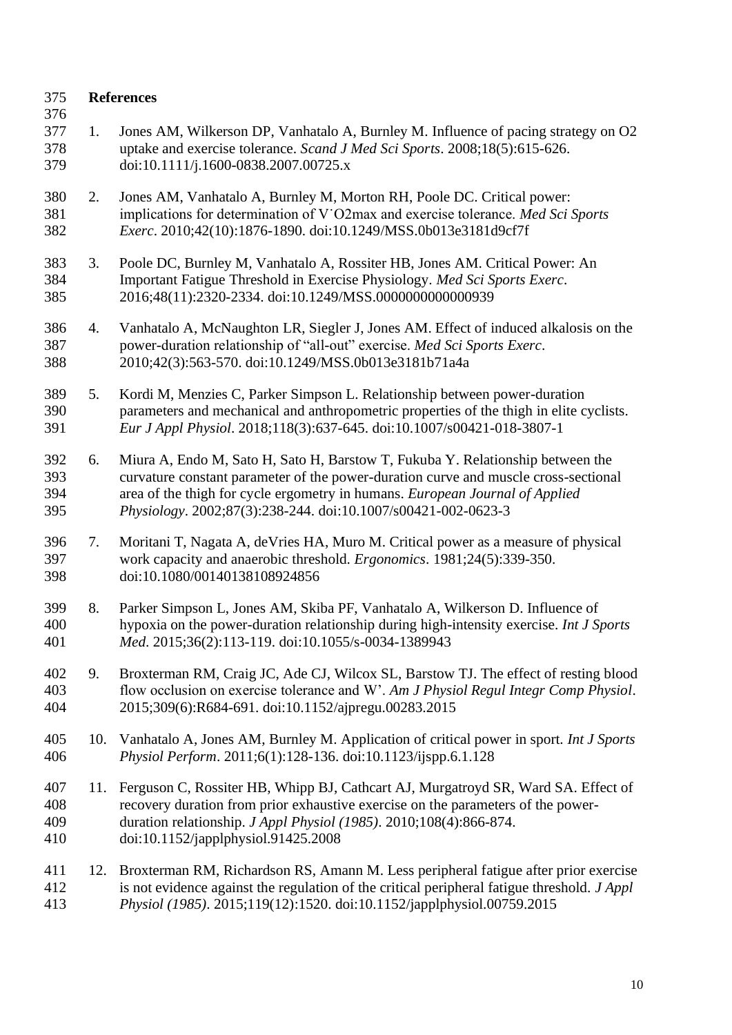| 375<br>376               |     | <b>References</b>                                                                                                                                                                                                                                                                                                      |
|--------------------------|-----|------------------------------------------------------------------------------------------------------------------------------------------------------------------------------------------------------------------------------------------------------------------------------------------------------------------------|
| 377<br>378<br>379        | 1.  | Jones AM, Wilkerson DP, Vanhatalo A, Burnley M. Influence of pacing strategy on O2<br>uptake and exercise tolerance. Scand J Med Sci Sports. 2008;18(5):615-626.<br>doi:10.1111/j.1600-0838.2007.00725.x                                                                                                               |
| 380<br>381<br>382        | 2.  | Jones AM, Vanhatalo A, Burnley M, Morton RH, Poole DC. Critical power:<br>implications for determination of V'O2max and exercise tolerance. Med Sci Sports<br>Exerc. 2010;42(10):1876-1890. doi:10.1249/MSS.0b013e3181d9cf7f                                                                                           |
| 383<br>384<br>385        | 3.  | Poole DC, Burnley M, Vanhatalo A, Rossiter HB, Jones AM. Critical Power: An<br>Important Fatigue Threshold in Exercise Physiology. Med Sci Sports Exerc.<br>2016;48(11):2320-2334. doi:10.1249/MSS.0000000000000939                                                                                                    |
| 386<br>387<br>388        | 4.  | Vanhatalo A, McNaughton LR, Siegler J, Jones AM. Effect of induced alkalosis on the<br>power-duration relationship of "all-out" exercise. Med Sci Sports Exerc.<br>2010;42(3):563-570. doi:10.1249/MSS.0b013e3181b71a4a                                                                                                |
| 389<br>390<br>391        | 5.  | Kordi M, Menzies C, Parker Simpson L. Relationship between power-duration<br>parameters and mechanical and anthropometric properties of the thigh in elite cyclists.<br>Eur J Appl Physiol. 2018;118(3):637-645. doi:10.1007/s00421-018-3807-1                                                                         |
| 392<br>393<br>394<br>395 | 6.  | Miura A, Endo M, Sato H, Sato H, Barstow T, Fukuba Y. Relationship between the<br>curvature constant parameter of the power-duration curve and muscle cross-sectional<br>area of the thigh for cycle ergometry in humans. European Journal of Applied<br>Physiology. 2002;87(3):238-244. doi:10.1007/s00421-002-0623-3 |
| 396<br>397<br>398        | 7.  | Moritani T, Nagata A, deVries HA, Muro M. Critical power as a measure of physical<br>work capacity and anaerobic threshold. Ergonomics. 1981;24(5):339-350.<br>doi:10.1080/00140138108924856                                                                                                                           |
| 399<br>400<br>401        | 8.  | Parker Simpson L, Jones AM, Skiba PF, Vanhatalo A, Wilkerson D. Influence of<br>hypoxia on the power-duration relationship during high-intensity exercise. Int J Sports<br><i>Med.</i> 2015;36(2):113-119. doi:10.1055/s-0034-1389943                                                                                  |
| 402<br>403<br>404        | 9.  | Broxterman RM, Craig JC, Ade CJ, Wilcox SL, Barstow TJ. The effect of resting blood<br>flow occlusion on exercise tolerance and W'. Am J Physiol Regul Integr Comp Physiol.<br>2015;309(6):R684-691. doi:10.1152/ajpregu.00283.2015                                                                                    |
| 405<br>406               | 10. | Vanhatalo A, Jones AM, Burnley M. Application of critical power in sport. <i>Int J Sports</i><br>Physiol Perform. 2011;6(1):128-136. doi:10.1123/ijspp.6.1.128                                                                                                                                                         |
| 407<br>408<br>409<br>410 | 11. | Ferguson C, Rossiter HB, Whipp BJ, Cathcart AJ, Murgatroyd SR, Ward SA. Effect of<br>recovery duration from prior exhaustive exercise on the parameters of the power-<br>duration relationship. J Appl Physiol (1985). 2010;108(4):866-874.<br>doi:10.1152/japplphysiol.91425.2008                                     |
| 411<br>412<br>413        | 12. | Broxterman RM, Richardson RS, Amann M. Less peripheral fatigue after prior exercise<br>is not evidence against the regulation of the critical peripheral fatigue threshold. J Appl<br>Physiol (1985). 2015;119(12):1520. doi:10.1152/japplphysiol.00759.2015                                                           |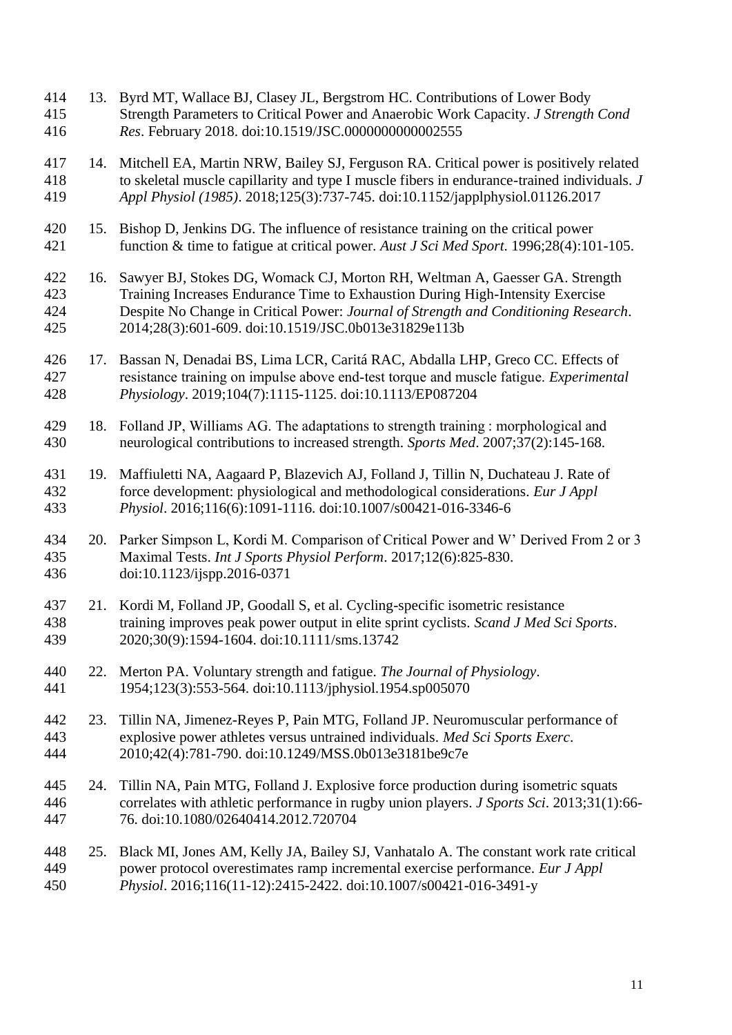13. Byrd MT, Wallace BJ, Clasey JL, Bergstrom HC. Contributions of Lower Body Strength Parameters to Critical Power and Anaerobic Work Capacity. *J Strength Cond Res*. February 2018. doi:10.1519/JSC.0000000000002555 14. Mitchell EA, Martin NRW, Bailey SJ, Ferguson RA. Critical power is positively related to skeletal muscle capillarity and type I muscle fibers in endurance-trained individuals. *J Appl Physiol (1985)*. 2018;125(3):737-745. doi:10.1152/japplphysiol.01126.2017 15. Bishop D, Jenkins DG. The influence of resistance training on the critical power function & time to fatigue at critical power. *Aust J Sci Med Sport*. 1996;28(4):101-105. 16. Sawyer BJ, Stokes DG, Womack CJ, Morton RH, Weltman A, Gaesser GA. Strength Training Increases Endurance Time to Exhaustion During High-Intensity Exercise Despite No Change in Critical Power: *Journal of Strength and Conditioning Research*. 2014;28(3):601-609. doi:10.1519/JSC.0b013e31829e113b 17. Bassan N, Denadai BS, Lima LCR, Caritá RAC, Abdalla LHP, Greco CC. Effects of resistance training on impulse above end‐test torque and muscle fatigue. *Experimental Physiology*. 2019;104(7):1115-1125. doi:10.1113/EP087204 18. Folland JP, Williams AG. The adaptations to strength training : morphological and neurological contributions to increased strength. *Sports Med*. 2007;37(2):145-168. 19. Maffiuletti NA, Aagaard P, Blazevich AJ, Folland J, Tillin N, Duchateau J. Rate of force development: physiological and methodological considerations. *Eur J Appl Physiol*. 2016;116(6):1091-1116. doi:10.1007/s00421-016-3346-6 20. Parker Simpson L, Kordi M. Comparison of Critical Power and W' Derived From 2 or 3 Maximal Tests. *Int J Sports Physiol Perform*. 2017;12(6):825-830. doi:10.1123/ijspp.2016-0371 21. Kordi M, Folland JP, Goodall S, et al. Cycling-specific isometric resistance training improves peak power output in elite sprint cyclists. *Scand J Med Sci Sports*. 2020;30(9):1594-1604. doi:10.1111/sms.13742 22. Merton PA. Voluntary strength and fatigue. *The Journal of Physiology*. 1954;123(3):553-564. doi:10.1113/jphysiol.1954.sp005070 23. Tillin NA, Jimenez-Reyes P, Pain MTG, Folland JP. Neuromuscular performance of explosive power athletes versus untrained individuals. *Med Sci Sports Exerc*. 2010;42(4):781-790. doi:10.1249/MSS.0b013e3181be9c7e 24. Tillin NA, Pain MTG, Folland J. Explosive force production during isometric squats correlates with athletic performance in rugby union players. *J Sports Sci*. 2013;31(1):66- 76. doi:10.1080/02640414.2012.720704 25. Black MI, Jones AM, Kelly JA, Bailey SJ, Vanhatalo A. The constant work rate critical power protocol overestimates ramp incremental exercise performance. *Eur J Appl Physiol*. 2016;116(11-12):2415-2422. doi:10.1007/s00421-016-3491-y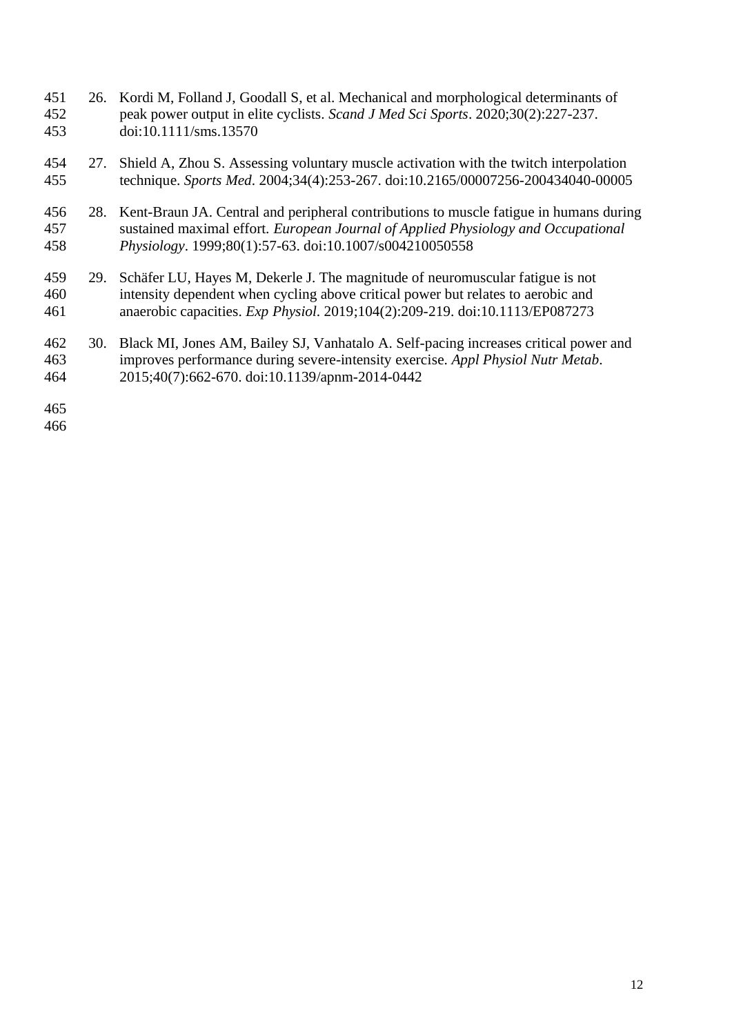- 26. Kordi M, Folland J, Goodall S, et al. Mechanical and morphological determinants of peak power output in elite cyclists. *Scand J Med Sci Sports*. 2020;30(2):227-237. doi:10.1111/sms.13570
- 27. Shield A, Zhou S. Assessing voluntary muscle activation with the twitch interpolation technique. *Sports Med*. 2004;34(4):253-267. doi:10.2165/00007256-200434040-00005
- 28. Kent-Braun JA. Central and peripheral contributions to muscle fatigue in humans during sustained maximal effort. *European Journal of Applied Physiology and Occupational Physiology*. 1999;80(1):57-63. doi:10.1007/s004210050558
- 29. Schäfer LU, Hayes M, Dekerle J. The magnitude of neuromuscular fatigue is not intensity dependent when cycling above critical power but relates to aerobic and anaerobic capacities. *Exp Physiol*. 2019;104(2):209-219. doi:10.1113/EP087273
- 30. Black MI, Jones AM, Bailey SJ, Vanhatalo A. Self-pacing increases critical power and improves performance during severe-intensity exercise. *Appl Physiol Nutr Metab*. 2015;40(7):662-670. doi:10.1139/apnm-2014-0442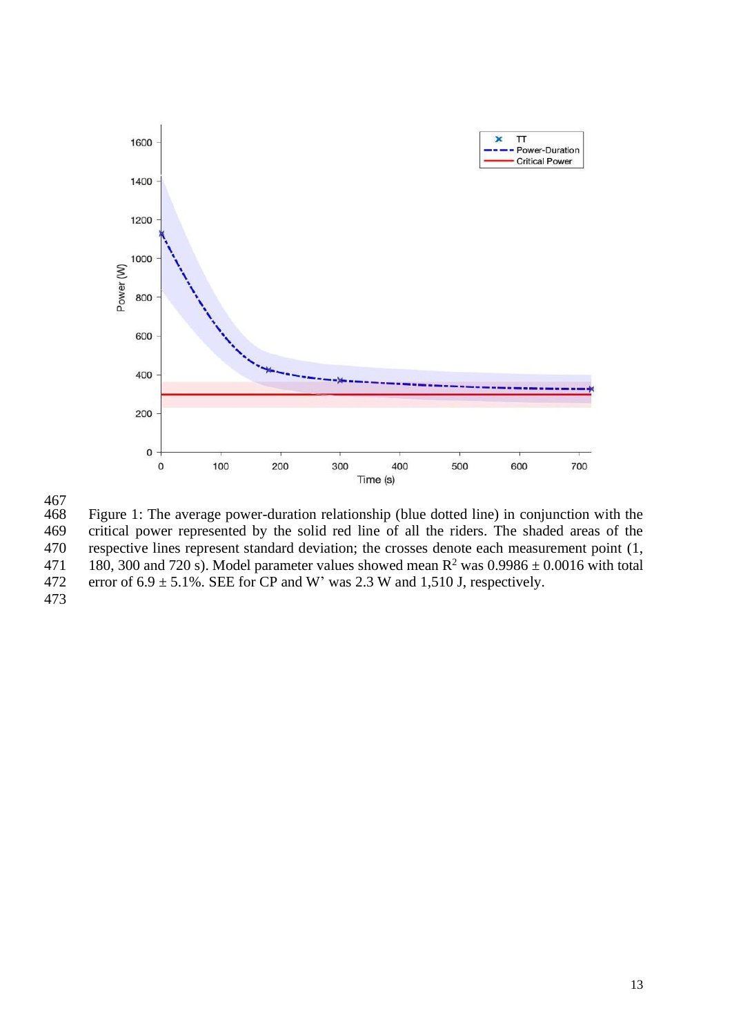

 $\frac{467}{468}$ Figure 1: The average power-duration relationship (blue dotted line) in conjunction with the 469 critical power represented by the solid red line of all the riders. The shaded areas of the 470 respective lines represent standard deviation; the crosses denote each measurement point (1, 471 180, 300 and 720 s). Model parameter values showed mean  $R^2$  was  $0.9986 \pm 0.0016$  with total 472 error of  $6.9 \pm 5.1\%$ . SEE for CP and W' was 2.3 W and 1,510 J, respectively. 473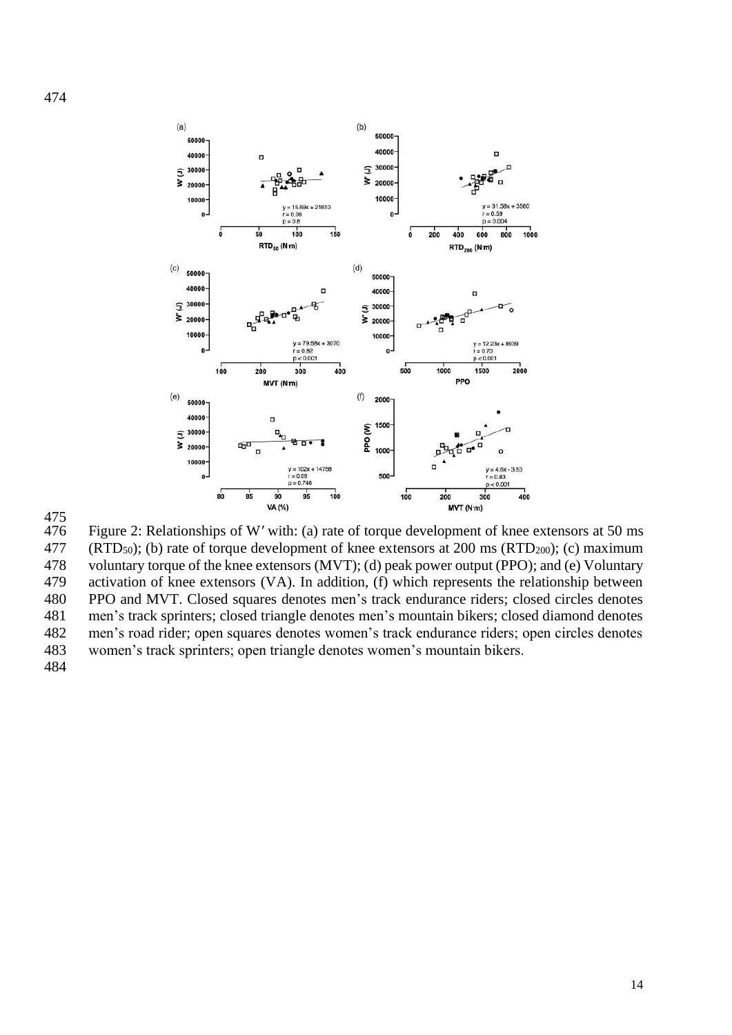



Figure 2: Relationships of W' with: (a) rate of torque development of knee extensors at 50 ms 477 (RTD<sub>50</sub>); (b) rate of torque development of knee extensors at 200 ms (RTD<sub>200</sub>); (c) maximum voluntary torque of the knee extensors (MVT); (d) peak power output (PPO); and (e) Voluntary activation of knee extensors (VA). In addition, (f) which represents the relationship between PPO and MVT. Closed squares denotes men's track endurance riders; closed circles denotes men's track sprinters; closed triangle denotes men's mountain bikers; closed diamond denotes men's road rider; open squares denotes women's track endurance riders; open circles denotes women's track sprinters; open triangle denotes women's mountain bikers.